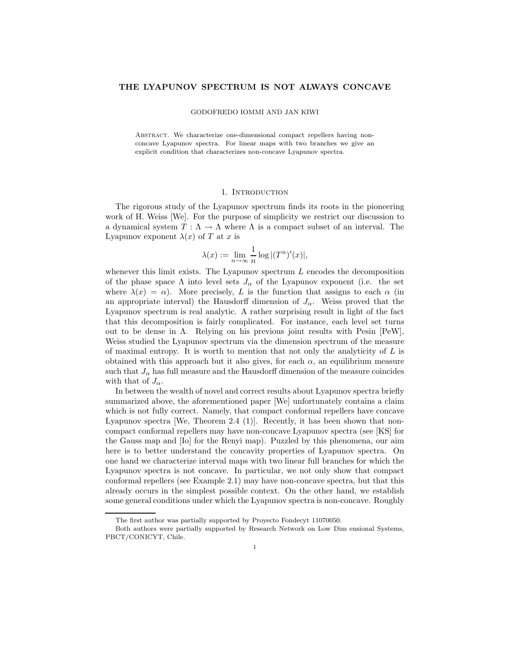# THE LYAPUNOV SPECTRUM IS NOT ALWAYS CONCAVE

GODOFREDO IOMMI AND JAN KIWI

Abstract. We characterize one-dimensional compact repellers having nonconcave Lyapunov spectra. For linear maps with two branches we give an explicit condition that characterizes non-concave Lyapunov spectra.

#### 1. INTRODUCTION

The rigorous study of the Lyapunov spectrum finds its roots in the pioneering work of H. Weiss [We]. For the purpose of simplicity we restrict our discussion to a dynamical system  $T : \Lambda \to \Lambda$  where  $\Lambda$  is a compact subset of an interval. The Lyapunov exponent  $\lambda(x)$  of T at x is

$$
\lambda(x) := \lim_{n \to \infty} \frac{1}{n} \log |(T^n)'(x)|,
$$

whenever this limit exists. The Lyapunov spectrum  $L$  encodes the decomposition of the phase space  $\Lambda$  into level sets  $J_{\alpha}$  of the Lyapunov exponent (i.e. the set where  $\lambda(x) = \alpha$ ). More precisely, L is the function that assigns to each  $\alpha$  (in an appropriate interval) the Hausdorff dimension of  $J_{\alpha}$ . Weiss proved that the Lyapunov spectrum is real analytic. A rather surprising result in light of the fact that this decomposition is fairly complicated. For instance, each level set turns out to be dense in  $\Lambda$ . Relying on his previous joint results with Pesin [PeW], Weiss studied the Lyapunov spectrum via the dimension spectrum of the measure of maximal entropy. It is worth to mention that not only the analyticity of  $L$  is obtained with this approach but it also gives, for each  $\alpha$ , an equilibrium measure such that  $J_{\alpha}$  has full measure and the Hausdorff dimension of the measure coincides with that of  $J_{\alpha}$ .

In between the wealth of novel and correct results about Lyapunov spectra briefly summarized above, the aforementioned paper [We] unfortunately contains a claim which is not fully correct. Namely, that compact conformal repellers have concave Lyapunov spectra [We, Theorem 2.4 (1)]. Recently, it has been shown that noncompact conformal repellers may have non-concave Lyapunov spectra (see [KS] for the Gauss map and [Io] for the Renyi map). Puzzled by this phenomena, our aim here is to better understand the concavity properties of Lyapunov spectra. On one hand we characterize interval maps with two linear full branches for which the Lyapunov spectra is not concave. In particular, we not only show that compact conformal repellers (see Example 2.1) may have non-concave spectra, but that this already occurs in the simplest possible context. On the other hand, we establish some general conditions under which the Lyapunov spectra is non-concave. Roughly

The first author was partially supported by Proyecto Fondecyt 11070050.

Both authors were partially supported by Research Network on Low Dim ensional Systems, PBCT/CONICYT, Chile.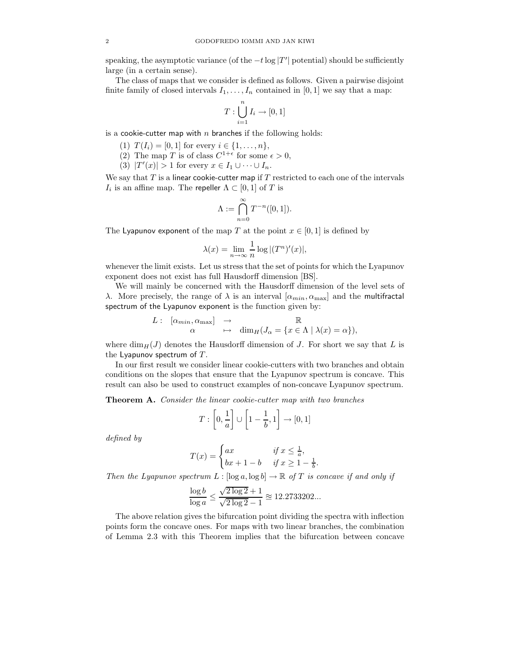speaking, the asymptotic variance (of the  $-t \log |T'|$  potential) should be sufficiently large (in a certain sense).

The class of maps that we consider is defined as follows. Given a pairwise disjoint finite family of closed intervals  $I_1, \ldots, I_n$  contained in [0, 1] we say that a map:

$$
T:\bigcup_{i=1}^n I_i\to [0,1]
$$

is a cookie-cutter map with  $n$  branches if the following holds:

- (1)  $T(I_i) = [0, 1]$  for every  $i \in \{1, ..., n\},$
- (2) The map T is of class  $C^{1+\epsilon}$  for some  $\epsilon > 0$ ,
- (3)  $|T'(x)| > 1$  for every  $x \in I_1 \cup \cdots \cup I_n$ .

We say that  $T$  is a linear cookie-cutter map if  $T$  restricted to each one of the intervals  $I_i$  is an affine map. The repeller  $\Lambda \subset [0,1]$  of T is

$$
\Lambda:=\bigcap_{n=0}^\infty T^{-n}([0,1]).
$$

The Lyapunov exponent of the map T at the point  $x \in [0, 1]$  is defined by

$$
\lambda(x) = \lim_{n \to \infty} \frac{1}{n} \log |(T^n)'(x)|,
$$

whenever the limit exists. Let us stress that the set of points for which the Lyapunov exponent does not exist has full Hausdorff dimension [BS].

We will mainly be concerned with the Hausdorff dimension of the level sets of λ. More precisely, the range of λ is an interval  $[\alpha_{min}, \alpha_{max}]$  and the multifractal spectrum of the Lyapunov exponent is the function given by:

$$
L: \begin{bmatrix} \alpha_{min}, \alpha_{max} \end{bmatrix} \rightarrow \begin{array}{c} \rightarrow \\ \alpha \end{array} \text{dim}_H(J_\alpha = \{ x \in \Lambda \mid \lambda(x) = \alpha \}),
$$

where  $\dim_H(J)$  denotes the Hausdorff dimension of J. For short we say that L is the Lyapunov spectrum of  $T$ .

In our first result we consider linear cookie-cutters with two branches and obtain conditions on the slopes that ensure that the Lyapunov spectrum is concave. This result can also be used to construct examples of non-concave Lyapunov spectrum.

Theorem A. Consider the linear cookie-cutter map with two branches

$$
T: \left[0, \frac{1}{a}\right] \cup \left[1 - \frac{1}{b}, 1\right] \rightarrow [0, 1]
$$

defined by

$$
T(x) = \begin{cases} ax & \text{if } x \leq \frac{1}{a}, \\ bx + 1 - b & \text{if } x \geq 1 - \frac{1}{b}. \end{cases}
$$

Then the Lyapunov spectrum  $L : [\log a, \log b] \to \mathbb{R}$  of T is concave if and only if

$$
\frac{\log b}{\log a} \le \frac{\sqrt{2\log 2}+1}{\sqrt{2\log 2}-1} \approxeq 12.2733202...
$$

The above relation gives the bifurcation point dividing the spectra with inflection points form the concave ones. For maps with two linear branches, the combination of Lemma 2.3 with this Theorem implies that the bifurcation between concave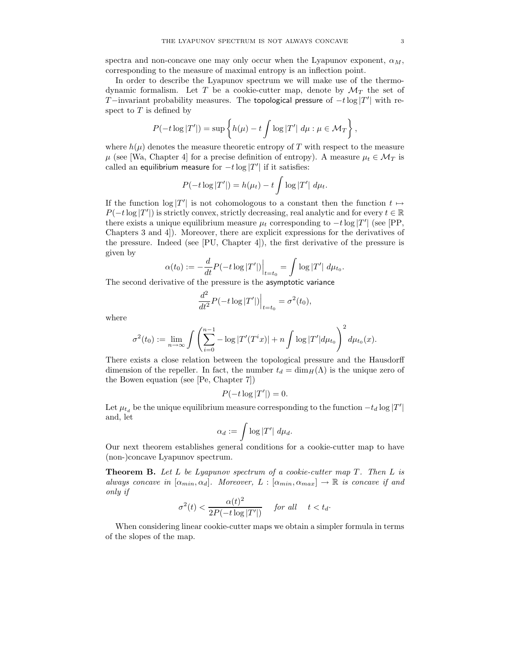spectra and non-concave one may only occur when the Lyapunov exponent,  $\alpha_M$ , corresponding to the measure of maximal entropy is an inflection point.

In order to describe the Lyapunov spectrum we will make use of the thermodynamic formalism. Let T be a cookie-cutter map, denote by  $\mathcal{M}_T$  the set of T-invariant probability measures. The topological pressure of  $-t \log |T'|$  with respect to  $T$  is defined by

$$
P(-t \log |T'|) = \sup \left\{ h(\mu) - t \int \log |T'| d\mu : \mu \in \mathcal{M}_T \right\},\
$$

where  $h(\mu)$  denotes the measure theoretic entropy of T with respect to the measure  $\mu$  (see [Wa, Chapter 4] for a precise definition of entropy). A measure  $\mu_t \in \mathcal{M}_T$  is called an equilibrium measure for  $-t \log |T'|$  if it satisfies:

$$
P(-t\log |T'|) = h(\mu_t) - t \int \log |T'| d\mu_t.
$$

If the function  $\log |T'|$  is not cohomologous to a constant then the function  $t \mapsto$  $P(-t \log |T'|)$  is strictly convex, strictly decreasing, real analytic and for every  $t \in \mathbb{R}$ there exists a unique equilibrium measure  $\mu_t$  corresponding to  $-t \log |T'|$  (see [PP, Chapters 3 and 4]). Moreover, there are explicit expressions for the derivatives of the pressure. Indeed (see [PU, Chapter 4]), the first derivative of the pressure is given by

$$
\alpha(t_0) := -\frac{d}{dt} P(-t \log |T'|) \Big|_{t=t_0} = \int \log |T'| \ d\mu_{t_0}.
$$

The second derivative of the pressure is the asymptotic variance

$$
\frac{d^2}{dt^2}P(-t\log|T'|)\Big|_{t=t_0} = \sigma^2(t_0),
$$

where

$$
\sigma^2(t_0) := \lim_{n \to \infty} \int \left( \sum_{i=0}^{n-1} -\log |T'(T^ix)| + n \int \log |T'| d\mu_{t_0} \right)^2 d\mu_{t_0}(x).
$$

There exists a close relation between the topological pressure and the Hausdorff dimension of the repeller. In fact, the number  $t_d = \dim_H(\Lambda)$  is the unique zero of the Bowen equation (see [Pe, Chapter 7])

$$
P(-t\log|T'|)=0.
$$

Let  $\mu_{t_d}$  be the unique equilibrium measure corresponding to the function  $-t_d \log |T'|$ and, let

$$
\alpha_d := \int \log |T'| \ d\mu_d.
$$

Our next theorem establishes general conditions for a cookie-cutter map to have (non-)concave Lyapunov spectrum.

**Theorem B.** Let L be Lyapunov spectrum of a cookie-cutter map  $T$ . Then L is always concave in  $[\alpha_{min}, \alpha_d]$ . Moreover,  $L : [\alpha_{min}, \alpha_{max}] \rightarrow \mathbb{R}$  is concave if and only if

$$
\sigma^2(t) < \frac{\alpha(t)^2}{2P(-t\log|T'|)} \quad \text{for all} \quad t < t_d.
$$

When considering linear cookie-cutter maps we obtain a simpler formula in terms of the slopes of the map.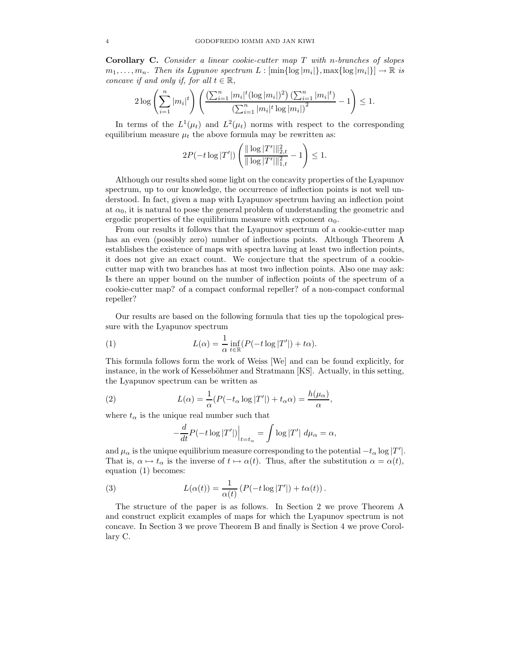Corollary C. Consider a linear cookie-cutter map T with n-branches of slopes  $m_1, \ldots, m_n$ . Then its Lypunov spectrum  $L : [\min\{\log |m_i|\}, \max\{\log |m_i|\}] \to \mathbb{R}$  is concave if and only if, for all  $t \in \mathbb{R}$ ,

$$
2\log\left(\sum_{i=1}^n |m_i|^t\right) \left(\frac{\left(\sum_{i=1}^n |m_i|^t (\log |m_i|)^2\right) \left(\sum_{i=1}^n |m_i|^t\right)}{\left(\sum_{i=1}^n |m_i|^t \log |m_i|\right)^2} - 1\right) \le 1.
$$

In terms of the  $L^1(\mu_t)$  and  $L^2(\mu_t)$  norms with respect to the corresponding equilibrium measure  $\mu_t$  the above formula may be rewritten as:

$$
2P(-t\log|T'|)\left(\frac{\|\log|T'\|\|_{2,t}^2}{\|\log|T'\|\|_{1,t}^2}-1\right)\leq 1.
$$

Although our results shed some light on the concavity properties of the Lyapunov spectrum, up to our knowledge, the occurrence of inflection points is not well understood. In fact, given a map with Lyapunov spectrum having an inflection point at  $\alpha_0$ , it is natural to pose the general problem of understanding the geometric and ergodic properties of the equilibrium measure with exponent  $\alpha_0$ .

From our results it follows that the Lyapunov spectrum of a cookie-cutter map has an even (possibly zero) number of inflections points. Although Theorem A establishes the existence of maps with spectra having at least two inflection points, it does not give an exact count. We conjecture that the spectrum of a cookiecutter map with two branches has at most two inflection points. Also one may ask: Is there an upper bound on the number of inflection points of the spectrum of a cookie-cutter map? of a compact conformal repeller? of a non-compact conformal repeller?

Our results are based on the following formula that ties up the topological pressure with the Lyapunov spectrum

(1) 
$$
L(\alpha) = \frac{1}{\alpha} \inf_{t \in \mathbb{R}} (P(-t \log |T'|) + t\alpha).
$$

This formula follows form the work of Weiss [We] and can be found explicitly, for instance, in the work of Kesseböhmer and Stratmann [KS]. Actually, in this setting, the Lyapunov spectrum can be written as

(2) 
$$
L(\alpha) = \frac{1}{\alpha} (P(-t_{\alpha} \log |T'|) + t_{\alpha} \alpha) = \frac{h(\mu_{\alpha})}{\alpha},
$$

where  $t_{\alpha}$  is the unique real number such that

$$
-\frac{d}{dt}P(-t\log|T'|)\Big|_{t=t_{\alpha}} = \int \log|T'| d\mu_{\alpha} = \alpha,
$$

and  $\mu_{\alpha}$  is the unique equilibrium measure corresponding to the potential  $-t_{\alpha} \log |T'|$ . That is,  $\alpha \mapsto t_{\alpha}$  is the inverse of  $t \mapsto \alpha(t)$ . Thus, after the substitution  $\alpha = \alpha(t)$ , equation (1) becomes:

(3) 
$$
L(\alpha(t)) = \frac{1}{\alpha(t)} \left( P(-t \log |T'|) + t\alpha(t) \right).
$$

The structure of the paper is as follows. In Section 2 we prove Theorem A and construct explicit examples of maps for which the Lyapunov spectrum is not concave. In Section 3 we prove Theorem B and finally is Section 4 we prove Corollary C.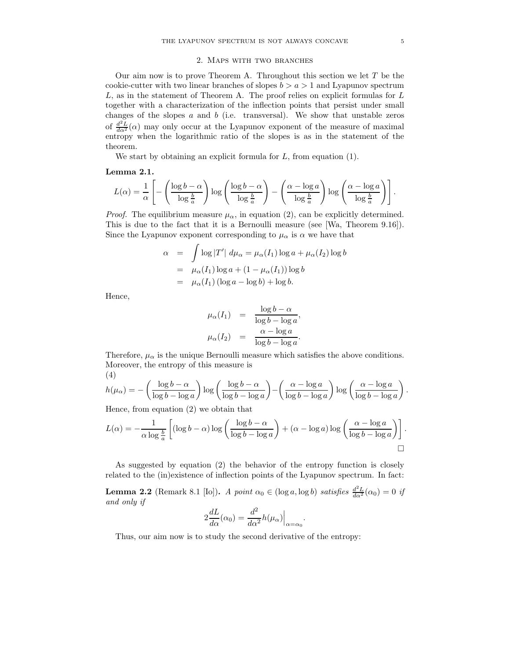## 2. Maps with two branches

Our aim now is to prove Theorem A. Throughout this section we let  $T$  be the cookie-cutter with two linear branches of slopes  $b > a > 1$  and Lyapunov spectrum  $L$ , as in the statement of Theorem A. The proof relies on explicit formulas for  $L$ together with a characterization of the inflection points that persist under small changes of the slopes  $a$  and  $b$  (i.e. transversal). We show that unstable zeros of  $\frac{d^2L}{d\alpha^2}(\alpha)$  may only occur at the Lyapunov exponent of the measure of maximal entropy when the logarithmic ratio of the slopes is as in the statement of the theorem.

We start by obtaining an explicit formula for  $L$ , from equation  $(1)$ .

### Lemma 2.1.

$$
L(\alpha) = \frac{1}{\alpha} \left[ - \left( \frac{\log b - \alpha}{\log \frac{b}{a}} \right) \log \left( \frac{\log b - \alpha}{\log \frac{b}{a}} \right) - \left( \frac{\alpha - \log a}{\log \frac{b}{a}} \right) \log \left( \frac{\alpha - \log a}{\log \frac{b}{a}} \right) \right].
$$

*Proof.* The equilibrium measure  $\mu_{\alpha}$ , in equation (2), can be explicitly determined. This is due to the fact that it is a Bernoulli measure (see [Wa, Theorem 9.16]). Since the Lyapunov exponent corresponding to  $\mu_{\alpha}$  is  $\alpha$  we have that

$$
\alpha = \int \log |T'| d\mu_{\alpha} = \mu_{\alpha}(I_1) \log a + \mu_{\alpha}(I_2) \log b
$$
  
=  $\mu_{\alpha}(I_1) \log a + (1 - \mu_{\alpha}(I_1)) \log b$   
=  $\mu_{\alpha}(I_1) (\log a - \log b) + \log b$ .

Hence,

$$
\mu_{\alpha}(I_1) = \frac{\log b - \alpha}{\log b - \log a},
$$
  

$$
\mu_{\alpha}(I_2) = \frac{\alpha - \log a}{\log b - \log a}.
$$

Therefore,  $\mu_{\alpha}$  is the unique Bernoulli measure which satisfies the above conditions. Moreover, the entropy of this measure is (4)

$$
h(\mu_{\alpha}) = -\left(\frac{\log b - \alpha}{\log b - \log a}\right) \log \left(\frac{\log b - \alpha}{\log b - \log a}\right) - \left(\frac{\alpha - \log a}{\log b - \log a}\right) \log \left(\frac{\alpha - \log a}{\log b - \log a}\right).
$$

Hence, from equation (2) we obtain that

$$
L(\alpha) = -\frac{1}{\alpha \log \frac{b}{a}} \left[ (\log b - \alpha) \log \left( \frac{\log b - \alpha}{\log b - \log a} \right) + (\alpha - \log a) \log \left( \frac{\alpha - \log a}{\log b - \log a} \right) \right].
$$

As suggested by equation (2) the behavior of the entropy function is closely related to the (in)existence of inflection points of the Lyapunov spectrum. In fact:

**Lemma 2.2** (Remark 8.1 [Io]). A point  $\alpha_0 \in (\log a, \log b)$  satisfies  $\frac{d^2L}{d\alpha^2}(\alpha_0) = 0$  if and only if

$$
2\frac{dL}{d\alpha}(\alpha_0) = \frac{d^2}{d\alpha^2}h(\mu_\alpha)\Big|_{\alpha = \alpha_0}
$$

.

Thus, our aim now is to study the second derivative of the entropy: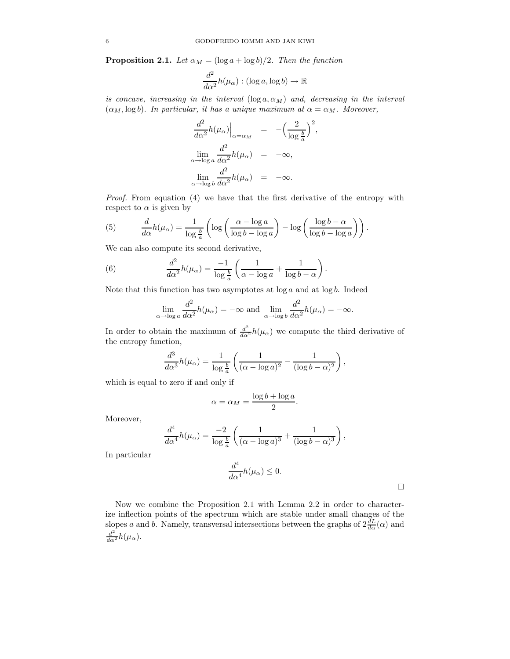**Proposition 2.1.** Let  $\alpha_M = (\log a + \log b)/2$ . Then the function

$$
\frac{d^2}{d\alpha^2}h(\mu_\alpha):(\log a,\log b)\to\mathbb{R}
$$

is concave, increasing in the interval  $(\log a, \alpha_M)$  and, decreasing in the interval  $(\alpha_M, \log b)$ . In particular, it has a unique maximum at  $\alpha = \alpha_M$ . Moreover,

$$
\frac{d^2}{d\alpha^2}h(\mu_\alpha)\Big|_{\alpha=\alpha_M} = -\left(\frac{2}{\log\frac{b}{a}}\right)^2,
$$
  

$$
\lim_{\alpha \to \log a} \frac{d^2}{d\alpha^2}h(\mu_\alpha) = -\infty,
$$
  

$$
\lim_{\alpha \to \log b} \frac{d^2}{d\alpha^2}h(\mu_\alpha) = -\infty.
$$

Proof. From equation (4) we have that the first derivative of the entropy with respect to  $\alpha$  is given by

(5) 
$$
\frac{d}{d\alpha}h(\mu_{\alpha}) = \frac{1}{\log \frac{b}{a}} \left( \log \left( \frac{\alpha - \log a}{\log b - \log a} \right) - \log \left( \frac{\log b - \alpha}{\log b - \log a} \right) \right).
$$

We can also compute its second derivative,

(6) 
$$
\frac{d^2}{d\alpha^2}h(\mu_\alpha) = \frac{-1}{\log\frac{b}{a}}\left(\frac{1}{\alpha - \log a} + \frac{1}{\log b - \alpha}\right).
$$

Note that this function has two asymptotes at  $log a$  and at  $log b$ . Indeed

$$
\lim_{\alpha \to \log a} \frac{d^2}{d\alpha^2} h(\mu_\alpha) = -\infty \text{ and } \lim_{\alpha \to \log b} \frac{d^2}{d\alpha^2} h(\mu_\alpha) = -\infty.
$$

In order to obtain the maximum of  $\frac{d^2}{d\alpha^2}h(\mu_\alpha)$  we compute the third derivative of the entropy function,

$$
\frac{d^3}{d\alpha^3}h(\mu_\alpha) = \frac{1}{\log\frac{b}{a}}\left(\frac{1}{(\alpha - \log a)^2} - \frac{1}{(\log b - \alpha)^2}\right),\,
$$

which is equal to zero if and only if

$$
\alpha = \alpha_M = \frac{\log b + \log a}{2}.
$$

Moreover,

$$
\frac{d^4}{d\alpha^4}h(\mu_\alpha) = \frac{-2}{\log\frac{b}{a}}\left(\frac{1}{(\alpha-\log a)^3} + \frac{1}{(\log b - \alpha)^3}\right),\,
$$

In particular

$$
\frac{d^4}{d\alpha^4}h(\mu_\alpha) \le 0.
$$

Now we combine the Proposition 2.1 with Lemma 2.2 in order to characterize inflection points of the spectrum which are stable under small changes of the slopes a and b. Namely, transversal intersections between the graphs of  $2\frac{dL}{d\alpha}(\alpha)$  and  $\frac{d^2}{d\alpha^2}h(\mu_\alpha).$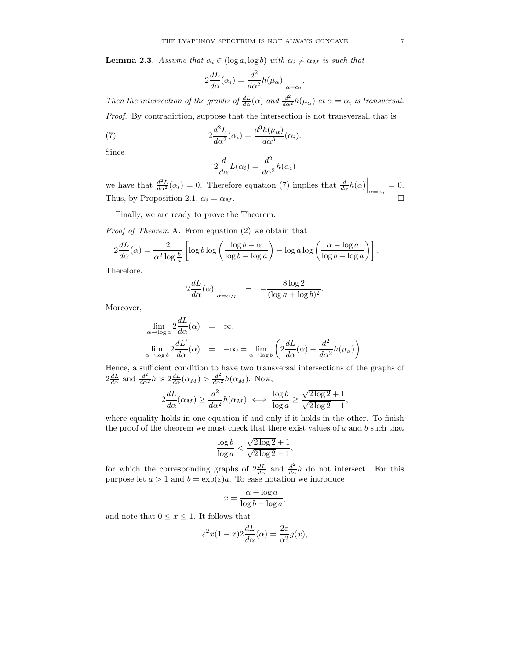**Lemma 2.3.** Assume that  $\alpha_i \in (\log a, \log b)$  with  $\alpha_i \neq \alpha_M$  is such that

$$
2\frac{dL}{d\alpha}(\alpha_i) = \frac{d^2}{d\alpha^2}h(\mu_\alpha)\Big|_{\alpha = \alpha_i}.
$$

Then the intersection of the graphs of  $\frac{dL}{d\alpha}(\alpha)$  and  $\frac{d^2}{d\alpha^2}h(\mu_\alpha)$  at  $\alpha = \alpha_i$  is transversal. Proof. By contradiction, suppose that the intersection is not transversal, that is

(7) 
$$
2\frac{d^2L}{d\alpha^2}(\alpha_i) = \frac{d^3h(\mu_\alpha)}{d\alpha^3}(\alpha_i).
$$

Since

$$
2\frac{d}{d\alpha}L(\alpha_i) = \frac{d^2}{d\alpha^2}h(\alpha_i)
$$

we have that  $\frac{d^2L}{d\alpha^2}(\alpha_i) = 0$ . Therefore equation (7) implies that  $\frac{d}{d\alpha}h(\alpha)\Big|_{\alpha=\alpha_i} = 0$ . Thus, by Proposition 2.1,  $\alpha_i = \alpha_M$ .

Finally, we are ready to prove the Theorem.

Proof of Theorem A. From equation (2) we obtain that

$$
2\frac{dL}{d\alpha}(\alpha) = \frac{2}{\alpha^2 \log \frac{b}{a}} \left[ \log b \log \left( \frac{\log b - \alpha}{\log b - \log a} \right) - \log a \log \left( \frac{\alpha - \log a}{\log b - \log a} \right) \right].
$$

Therefore,

$$
2\frac{dL}{d\alpha}(\alpha)\Big|_{\alpha=\alpha_M} = -\frac{8\log 2}{(\log a + \log b)^2}.
$$

Moreover,

$$
\lim_{\alpha \to \log a} 2 \frac{dL}{d\alpha}(\alpha) = \infty,
$$
  

$$
\lim_{\alpha \to \log b} 2 \frac{dL'}{d\alpha}(\alpha) = -\infty = \lim_{\alpha \to \log b} \left( 2 \frac{dL}{d\alpha}(\alpha) - \frac{d^2}{d\alpha^2} h(\mu_\alpha) \right).
$$

Hence, a sufficient condition to have two transversal intersections of the graphs of  $2\frac{dL}{d\alpha}$  and  $\frac{d^2}{d\alpha^2}h$  is  $2\frac{dL}{d\alpha}(\alpha_M) > \frac{d^2}{d\alpha^2}h(\alpha_M)$ . Now,

$$
2\frac{dL}{d\alpha}(\alpha_M) \ge \frac{d^2}{d\alpha^2}h(\alpha_M) \iff \frac{\log b}{\log a} \ge \frac{\sqrt{2\log 2}+1}{\sqrt{2\log 2}-1},
$$

where equality holds in one equation if and only if it holds in the other. To finish the proof of the theorem we must check that there exist values of  $a$  and  $b$  such that

$$
\frac{\log b}{\log a}<\frac{\sqrt{2\log 2}+1}{\sqrt{2\log 2}-1},
$$

for which the corresponding graphs of  $2\frac{dL}{d\alpha}$  and  $\frac{d^2}{d\alpha}h$  do not intersect. For this purpose let  $a > 1$  and  $b = \exp(\varepsilon)a$ . To ease notation we introduce

$$
x = \frac{\alpha - \log a}{\log b - \log a},
$$

and note that  $0\leq x\leq 1.$  It follows that

$$
\varepsilon^2 x(1-x)2\frac{dL}{d\alpha}(\alpha) = \frac{2\varepsilon}{\alpha^2}g(x),
$$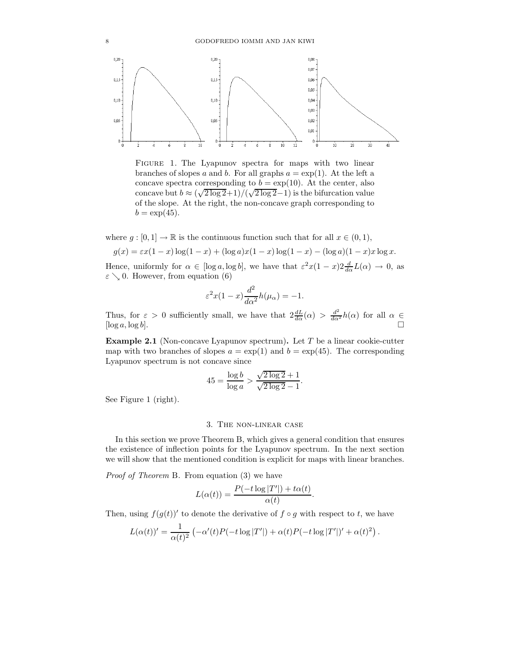

FIGURE 1. The Lyapunov spectra for maps with two linear branches of slopes a and b. For all graphs  $a = \exp(1)$ . At the left a concave spectra corresponding to  $b = \exp(10)$ . At the center, also concave but  $b \approx (\sqrt{2 \log 2}+1)/(\sqrt{2 \log 2}-1)$  is the bifurcation value of the slope. At the right, the non-concave graph corresponding to  $b = \exp(45)$ .

where  $g : [0,1] \to \mathbb{R}$  is the continuous function such that for all  $x \in (0,1)$ ,

$$
g(x) = \varepsilon x(1-x)\log(1-x) + (\log a)x(1-x)\log(1-x) - (\log a)(1-x)x\log x.
$$

Hence, uniformly for  $\alpha \in [\log a, \log b]$ , we have that  $\varepsilon^2 x(1-x) 2 \frac{d}{d\alpha} L(\alpha) \to 0$ , as  $\varepsilon \searrow 0$ . However, from equation (6)

$$
\varepsilon^2 x (1-x) \frac{d^2}{d\alpha^2} h(\mu_\alpha) = -1.
$$

Thus, for  $\varepsilon > 0$  sufficiently small, we have that  $2\frac{dL}{d\alpha}(\alpha) > \frac{d^2}{d\alpha^2}h(\alpha)$  for all  $\alpha \in$  $[\log a, \log b]$ .

**Example 2.1** (Non-concave Lyapunov spectrum). Let  $T$  be a linear cookie-cutter map with two branches of slopes  $a = \exp(1)$  and  $b = \exp(45)$ . The corresponding Lyapunov spectrum is not concave since

$$
45 = \frac{\log b}{\log a} > \frac{\sqrt{2 \log 2} + 1}{\sqrt{2 \log 2} - 1}.
$$

See Figure 1 (right).

## 3. The non-linear case

In this section we prove Theorem B, which gives a general condition that ensures the existence of inflection points for the Lyapunov spectrum. In the next section we will show that the mentioned condition is explicit for maps with linear branches.

Proof of Theorem B. From equation (3) we have

$$
L(\alpha(t)) = \frac{P(-t \log |T'|) + t\alpha(t)}{\alpha(t)}.
$$

Then, using  $f(g(t))'$  to denote the derivative of  $f \circ g$  with respect to  $t$ , we have

$$
L(\alpha(t))' = \frac{1}{\alpha(t)^2} \left( -\alpha'(t)P(-t\log|T'|) + \alpha(t)P(-t\log|T'|)' + \alpha(t)^2 \right).
$$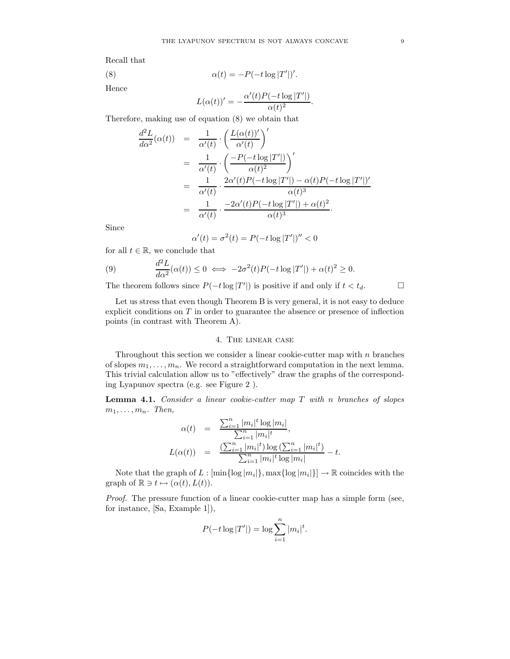Recall that

(8) 
$$
\alpha(t) = -P(-t \log |T|)
$$

Hence

$$
L(\alpha(t))' = -\frac{\alpha'(t)P(-t\log |T'|)}{\alpha(t)^2}.
$$

 $^{\prime}|$ )'.

Therefore, making use of equation (8) we obtain that

$$
\frac{d^2 L}{d\alpha^2}(\alpha(t)) = \frac{1}{\alpha'(t)} \cdot \left(\frac{L(\alpha(t))'}{\alpha'(t)}\right)'
$$
  
\n
$$
= \frac{1}{\alpha'(t)} \cdot \left(\frac{-P(-t \log |T'|)}{\alpha(t)^2}\right)'
$$
  
\n
$$
= \frac{1}{\alpha'(t)} \cdot \frac{2\alpha'(t)P(-t \log |T'|) - \alpha(t)P(-t \log |T'|)'}{\alpha(t)^3}
$$
  
\n
$$
= \frac{1}{\alpha'(t)} \cdot \frac{-2\alpha'(t)P(-t \log |T'|) + \alpha(t)^2}{\alpha(t)^3}.
$$

Since

$$
\alpha'(t) = \sigma^2(t) = P(-t \log |T'|)'' < 0
$$

for all  $t \in \mathbb{R}$ , we conclude that

(9) 
$$
\frac{d^2 L}{d\alpha^2}(\alpha(t)) \le 0 \iff -2\sigma^2(t)P(-t\log|T'|) + \alpha(t)^2 \ge 0.
$$

The theorem follows since  $P(-t \log |T'|)$  is positive if and only if  $t < t_d$ .

Let us stress that even though Theorem B is very general, it is not easy to deduce explicit conditions on  $T$  in order to guarantee the absence or presence of inflection points (in contrast with Theorem A).

## 4. The linear case

Throughout this section we consider a linear cookie-cutter map with  $n$  branches of slopes  $m_1, \ldots, m_n$ . We record a straightforward computation in the next lemma. This trivial calculation allow us to "effectively" draw the graphs of the corresponding Lyapunov spectra (e.g. see Figure 2 ).

**Lemma 4.1.** Consider a linear cookie-cutter map  $T$  with n branches of slopes  $m_1, \ldots, m_n$ . Then,

$$
\alpha(t) = \frac{\sum_{i=1}^{n} |m_i|^t \log |m_i|}{\sum_{i=1}^{n} |m_i|^t},
$$
  

$$
L(\alpha(t)) = \frac{(\sum_{i=1}^{n} |m_i|^t) \log (\sum_{i=1}^{n} |m_i|^t)}{\sum_{i=1}^{n} |m_i|^t \log |m_i|} - t.
$$

Note that the graph of  $L : [\min\{\log |m_i|\}, \max\{\log |m_i|\}] \to \mathbb{R}$  coincides with the graph of  $\mathbb{R} \ni t \mapsto (\alpha(t), L(t)).$ 

Proof. The pressure function of a linear cookie-cutter map has a simple form (see, for instance, [Sa, Example 1]),

$$
P(-t \log |T'|) = \log \sum_{i=1}^{n} |m_i|^t.
$$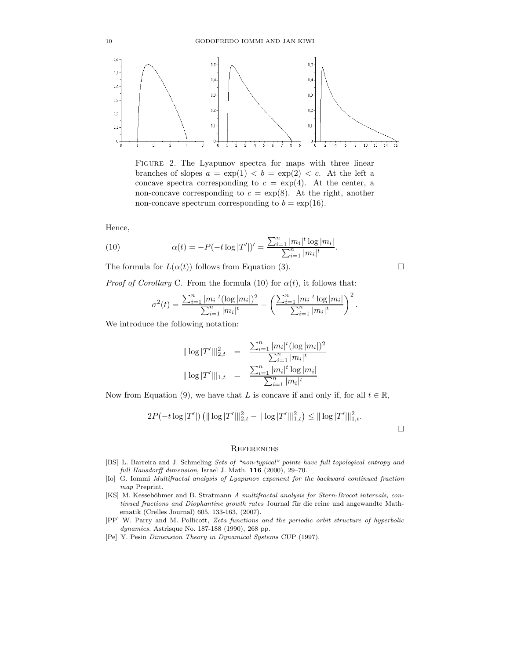

FIGURE 2. The Lyapunov spectra for maps with three linear branches of slopes  $a = \exp(1) < b = \exp(2) < c$ . At the left a concave spectra corresponding to  $c = \exp(4)$ . At the center, a non-concave corresponding to  $c = \exp(8)$ . At the right, another non-concave spectrum corresponding to  $b = \exp(16)$ .

Hence,

(10) 
$$
\alpha(t) = -P(-t \log |T'|)' = \frac{\sum_{i=1}^{n} |m_i|^t \log |m_i|}{\sum_{i=1}^{n} |m_i|^t}.
$$

The formula for  $L(\alpha(t))$  follows from Equation (3).

*Proof of Corollary* C. From the formula (10) for  $\alpha(t)$ , it follows that:

$$
\sigma^{2}(t) = \frac{\sum_{i=1}^{n} |m_{i}|^{t} (\log |m_{i}|)^{2}}{\sum_{i=1}^{n} |m_{i}|^{t}} - \left( \frac{\sum_{i=1}^{n} |m_{i}|^{t} \log |m_{i}|}{\sum_{i=1}^{n} |m_{i}|^{t}} \right)^{2}.
$$

We introduce the following notation:

$$
\|\log |T'||_{2,t}^2 = \frac{\sum_{i=1}^n |m_i|^t (\log |m_i|)^2}{\sum_{i=1}^n |m_i|^t}
$$
  

$$
\|\log |T'||_{1,t} = \frac{\sum_{i=1}^n |m_i|^t \log |m_i|}{\sum_{i=1}^n |m_i|^t}
$$

Now from Equation (9), we have that L is concave if and only if, for all  $t \in \mathbb{R}$ ,

$$
2P(-t\log |T'|)\left(\|\log |T'|\|_{2,t}^2-\|\log |T'|\|_{1,t}^2\right)\leq \|\log |T'|\|_{1,t}^2.
$$

### **REFERENCES**

- [BS] L. Barreira and J. Schmeling Sets of "non-typical" points have full topological entropy and full Hausdorff dimension, Israel J. Math. 116 (2000), 29–70.
- [Io] G. Iommi Multifractal analysis of Lyapunov exponent for the backward continued fraction map Preprint.
- [KS] M. Kesseböhmer and B. Stratmann A multifractal analysis for Stern-Brocot intervals, continued fractions and Diophantine growth rates Journal für die reine und angewandte Mathematik (Crelles Journal) 605, 133-163, (2007).
- [PP] W. Parry and M. Pollicott, Zeta functions and the periodic orbit structure of hyperbolic dynamics. Astrisque No. 187-188 (1990), 268 pp.
- [Pe] Y. Pesin Dimension Theory in Dynamical Systems CUP (1997).

$$
\overline{a}
$$

 $\Box$